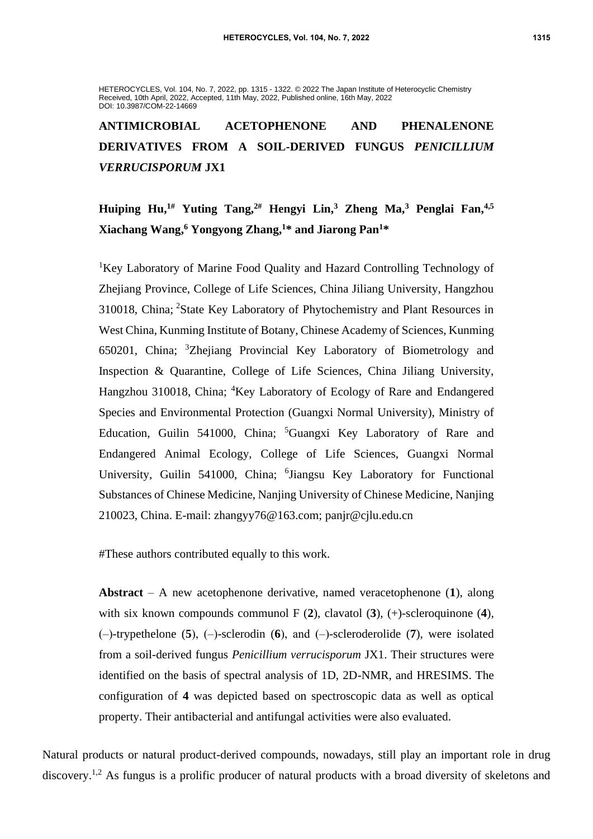HETEROCYCLES, Vol. 104, No. 7, 2022, pp. 1315 - 1322. © 2022 The Japan Institute of Heterocyclic Chemistry Received, 10th April, 2022, Accepted, 11th May, 2022, Published online, 16th May, 2022 DOI: 10.3987/COM-22-14669

**ANTIMICROBIAL ACETOPHENONE AND PHENALENONE DERIVATIVES FROM A SOIL-DERIVED FUNGUS** *PENICILLIUM VERRUCISPORUM* **JX1**

**Huiping Hu,1# Yuting Tang,2# Hengyi Lin,<sup>3</sup> Zheng Ma,<sup>3</sup> Penglai Fan, 4,5 Xiachang Wang, <sup>6</sup> Yongyong Zhang, <sup>1</sup>\* and Jiarong Pan<sup>1</sup>\***

<sup>1</sup>Key Laboratory of Marine Food Quality and Hazard Controlling Technology of Zhejiang Province, College of Life Sciences, China Jiliang University, Hangzhou 310018, China; <sup>2</sup>State Key Laboratory of Phytochemistry and Plant Resources in West China, Kunming Institute of Botany, Chinese Academy of Sciences, Kunming 650201, China; <sup>3</sup>Zhejiang Provincial Key Laboratory of Biometrology and Inspection & Quarantine, College of Life Sciences, China Jiliang University, Hangzhou 310018, China; <sup>4</sup>Key Laboratory of Ecology of Rare and Endangered Species and Environmental Protection (Guangxi Normal University), Ministry of Education, Guilin 541000, China; <sup>5</sup>Guangxi Key Laboratory of Rare and Endangered Animal Ecology, College of Life Sciences, Guangxi Normal University, Guilin 541000, China; <sup>6</sup>Jiangsu Key Laboratory for Functional Substances of Chinese Medicine, Nanjing University of Chinese Medicine, Nanjing 210023, China. E-mail: zhangyy76@163.com; panjr@cjlu.edu.cn

#These authors contributed equally to this work.

**Abstract** – A new acetophenone derivative, named veracetophenone (**1**), along with six known compounds communol F (**2**), clavatol (**3**), (+)-scleroquinone (**4**), (‒)-trypethelone (**5**), (‒)-sclerodin (**6**), and (‒)-scleroderolide (**7**), were isolated from a soil-derived fungus *Penicillium verrucisporum* JX1. Their structures were identified on the basis of spectral analysis of 1D, 2D-NMR, and HRESIMS. The configuration of **4** was depicted based on spectroscopic data as well as optical property. Their antibacterial and antifungal activities were also evaluated.

Natural products or natural product-derived compounds, nowadays, still play an important role in drug discovery.<sup>1,2</sup> As fungus is a prolific producer of natural products with a broad diversity of skeletons and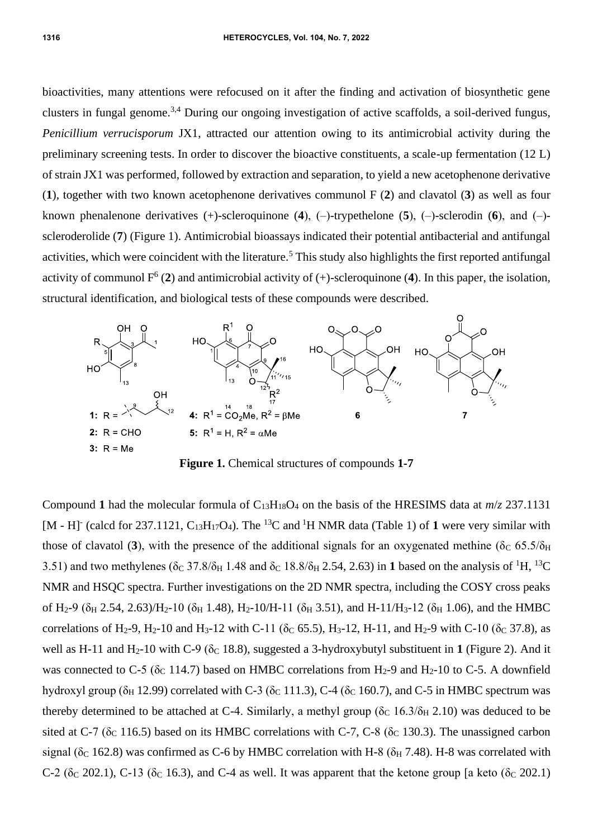bioactivities, many attentions were refocused on it after the finding and activation of biosynthetic gene clusters in fungal genome.3,4 During our ongoing investigation of active scaffolds, a soil-derived fungus, *Penicillium verrucisporum* JX1, attracted our attention owing to its antimicrobial activity during the preliminary screening tests. In order to discover the bioactive constituents, a scale-up fermentation (12 L) of strain JX1 was performed, followed by extraction and separation, to yield a new acetophenone derivative (**1**), together with two known acetophenone derivatives communol F (**2**) and clavatol (**3**) as well as four known phenalenone derivatives  $(+)$ -scleroquinone  $(4)$ ,  $(-)$ -trypethelone  $(5)$ ,  $(-)$ -sclerodin  $(6)$ , and  $(-)$ scleroderolide (**7**) (Figure 1). Antimicrobial bioassays indicated their potential antibacterial and antifungal activities, which were coincident with the literature.<sup>5</sup> This study also highlights the first reported antifungal activity of communol  $F^6$  (2) and antimicrobial activity of  $(+)$ -scleroquinone (4). In this paper, the isolation, structural identification, and biological tests of these compounds were described.



**Figure 1.** Chemical structures of compounds **1-7**

Compound 1 had the molecular formula of  $C_{13}H_{18}O_4$  on the basis of the HRESIMS data at  $m/z$  237.1131 [M - H] (calcd for 237.1121,  $C_{13}H_{17}O_4$ ). The <sup>13</sup>C and <sup>1</sup>H NMR data (Table 1) of 1 were very similar with those of clavatol (3), with the presence of the additional signals for an oxygenated methine ( $\delta$ c 65.5/ $\delta$ H 3.51) and two methylenes ( $\delta$ C 37.8/ $\delta$ H 1.48 and  $\delta$ C 18.8/ $\delta$ H 2.54, 2.63) in 1 based on the analysis of <sup>1</sup>H, <sup>13</sup>C NMR and HSQC spectra. Further investigations on the 2D NMR spectra, including the COSY cross peaks of H<sub>2</sub>-9 ( $\delta$ <sub>H</sub> 2.54, 2.63)/H<sub>2</sub>-10 ( $\delta$ <sub>H</sub> 1.48), H<sub>2</sub>-10/H-11 ( $\delta$ <sub>H</sub> 3.51), and H-11/H<sub>3</sub>-12 ( $\delta$ <sub>H</sub> 1.06), and the HMBC correlations of H<sub>2</sub>-9, H<sub>2</sub>-10 and H<sub>3</sub>-12 with C-11 ( $\delta$ <sub>C</sub> 65.5), H<sub>3</sub>-12, H-11, and H<sub>2</sub>-9 with C-10 ( $\delta$ <sub>C</sub> 37.8), as well as H-11 and H<sub>2</sub>-10 with C-9 ( $\delta$ <sub>C</sub> 18.8), suggested a 3-hydroxybutyl substituent in 1 (Figure 2). And it was connected to C-5 ( $\delta$ <sub>C</sub> 114.7) based on HMBC correlations from H<sub>2</sub>-9 and H<sub>2</sub>-10 to C-5. A downfield hydroxyl group ( $\delta$ H 12.99) correlated with C-3 ( $\delta$ c 111.3), C-4 ( $\delta$ c 160.7), and C-5 in HMBC spectrum was thereby determined to be attached at C-4. Similarly, a methyl group ( $\delta$ c 16.3/ $\delta$ <sub>H</sub> 2.10) was deduced to be sited at C-7 ( $\delta_c$  116.5) based on its HMBC correlations with C-7, C-8 ( $\delta_c$  130.3). The unassigned carbon signal ( $\delta$ <sub>C</sub> 162.8) was confirmed as C-6 by HMBC correlation with H-8 ( $\delta$ <sub>H</sub> 7.48). H-8 was correlated with C-2 ( $\delta$ <sub>C</sub> 202.1), C-13 ( $\delta$ <sub>C</sub> 16.3), and C-4 as well. It was apparent that the ketone group [a keto ( $\delta$ <sub>C</sub> 202.1)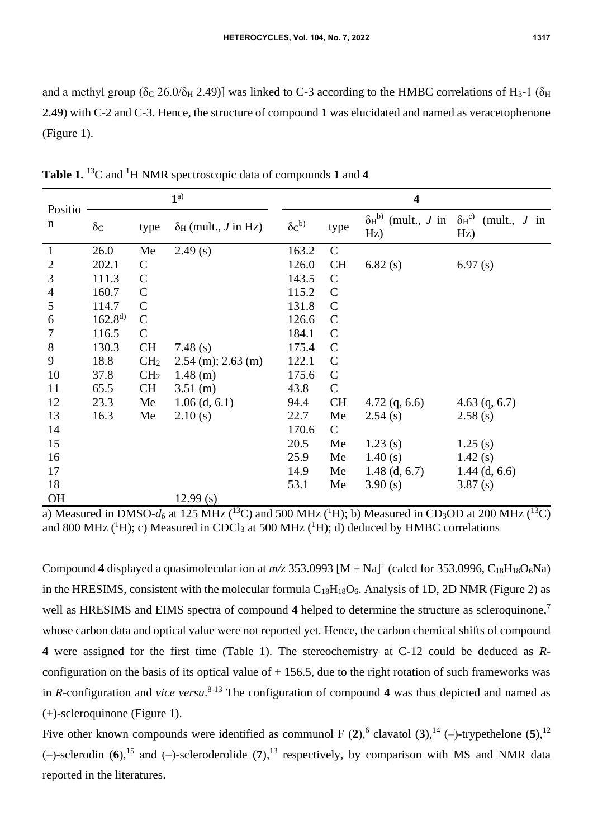and a methyl group ( $\delta$ C 26.0/ $\delta$ H 2.49)] was linked to C-3 according to the HMBC correlations of H<sub>3</sub>-1 ( $\delta$ H 2.49) with C-2 and C-3. Hence, the structure of compound **1** was elucidated and named as veracetophenone (Figure 1).

| Positio        | $1^{a)}$         |                 |                                          | $\overline{\mathbf{4}}$ |               |                                              |                                              |
|----------------|------------------|-----------------|------------------------------------------|-------------------------|---------------|----------------------------------------------|----------------------------------------------|
| n              | $\delta_{\rm C}$ | type            | $\delta_{\rm H}$ (mult., <i>J</i> in Hz) | $\delta c^{b)}$         | type          | $\delta_{\rm H}^{\rm b}$ (mult., J in<br>Hz) | $\delta_{\rm H}^{\rm c}$ (mult., J in<br>Hz) |
| $\mathbf{1}$   | 26.0             | Me              | 2.49(s)                                  | 163.2                   | $\mathcal{C}$ |                                              |                                              |
| $\mathbf{2}$   | 202.1            | $\mathsf{C}$    |                                          | 126.0                   | <b>CH</b>     | 6.82(s)                                      | 6.97(s)                                      |
| 3              | 111.3            | $\mathsf{C}$    |                                          | 143.5                   | $\mathbf C$   |                                              |                                              |
| $\overline{4}$ | 160.7            | $\mathbf C$     |                                          | 115.2                   | $\mathcal{C}$ |                                              |                                              |
| 5              | 114.7            | $\mathsf{C}$    |                                          | 131.8                   | $\mathcal{C}$ |                                              |                                              |
| 6              | $162.8^{d}$      | $\mathsf{C}$    |                                          | 126.6                   | $\mathcal{C}$ |                                              |                                              |
| 7              | 116.5            | $\mathbf C$     |                                          | 184.1                   | $\mathcal{C}$ |                                              |                                              |
| $8\,$          | 130.3            | <b>CH</b>       | 7.48 $(s)$                               | 175.4                   | $\mathcal{C}$ |                                              |                                              |
| 9              | 18.8             | CH <sub>2</sub> | $2.54$ (m); $2.63$ (m)                   | 122.1                   | $\mathcal{C}$ |                                              |                                              |
| 10             | 37.8             | CH <sub>2</sub> | $1.48$ (m)                               | 175.6                   | $\mathcal{C}$ |                                              |                                              |
| 11             | 65.5             | <b>CH</b>       | $3.51$ (m)                               | 43.8                    | $\mathcal{C}$ |                                              |                                              |
| 12             | 23.3             | Me              | $1.06$ (d, 6.1)                          | 94.4                    | <b>CH</b>     | $4.72$ (q, 6.6)                              | $4.63$ (q, 6.7)                              |
| 13             | 16.3             | Me              | 2.10(s)                                  | 22.7                    | Me            | 2.54(s)                                      | 2.58(s)                                      |
| 14             |                  |                 |                                          | 170.6                   | $\mathsf{C}$  |                                              |                                              |
| 15             |                  |                 |                                          | 20.5                    | Me            | 1.23(s)                                      | 1.25(s)                                      |
| 16             |                  |                 |                                          | 25.9                    | Me            | 1.40(s)                                      | 1.42(s)                                      |
| 17             |                  |                 |                                          | 14.9                    | Me            | $1.48$ (d, 6.7)                              | $1.44$ (d, 6.6)                              |
| 18             |                  |                 |                                          | 53.1                    | Me            | 3.90(s)                                      | 3.87(s)                                      |
| <b>OH</b>      |                  |                 | 12.99(s)                                 |                         |               |                                              |                                              |

**Table 1.** <sup>13</sup>C and <sup>1</sup>H NMR spectroscopic data of compounds **1** and **4**

a) Measured in DMSO- $d_6$  at 125 MHz (<sup>13</sup>C) and 500 MHz (<sup>1</sup>H); b) Measured in CD<sub>3</sub>OD at 200 MHz (<sup>13</sup>C) and 800 MHz ( ${}^{1}$ H); c) Measured in CDCl<sub>3</sub> at 500 MHz ( ${}^{1}$ H); d) deduced by HMBC correlations

Compound 4 displayed a quasimolecular ion at  $m/z$  353.0993  $[M + Na]^+$  (calcd for 353.0996, C<sub>18</sub>H<sub>18</sub>O<sub>6</sub>Na) in the HRESIMS, consistent with the molecular formula  $C_{18}H_{18}O_6$ . Analysis of 1D, 2D NMR (Figure 2) as well as HRESIMS and EIMS spectra of compound **4** helped to determine the structure as scleroquinone, 7 whose carbon data and optical value were not reported yet. Hence, the carbon chemical shifts of compound **4** were assigned for the first time (Table 1). The stereochemistry at C-12 could be deduced as *R*configuration on the basis of its optical value of  $+ 156.5$ , due to the right rotation of such frameworks was in *R*-configuration and *vice versa*. 8-13 The configuration of compound **4** was thus depicted and named as (+)-scleroquinone (Figure 1).

Five other known compounds were identified as communol F  $(2)$ , <sup>6</sup> clavatol  $(3)$ , <sup>14</sup> (-)-trypethelone  $(5)$ , <sup>12</sup>  $(-)$ -sclerodin  $(6)$ ,<sup>15</sup> and  $(-)$ -scleroderolide  $(7)$ ,<sup>13</sup> respectively, by comparison with MS and NMR data reported in the literatures.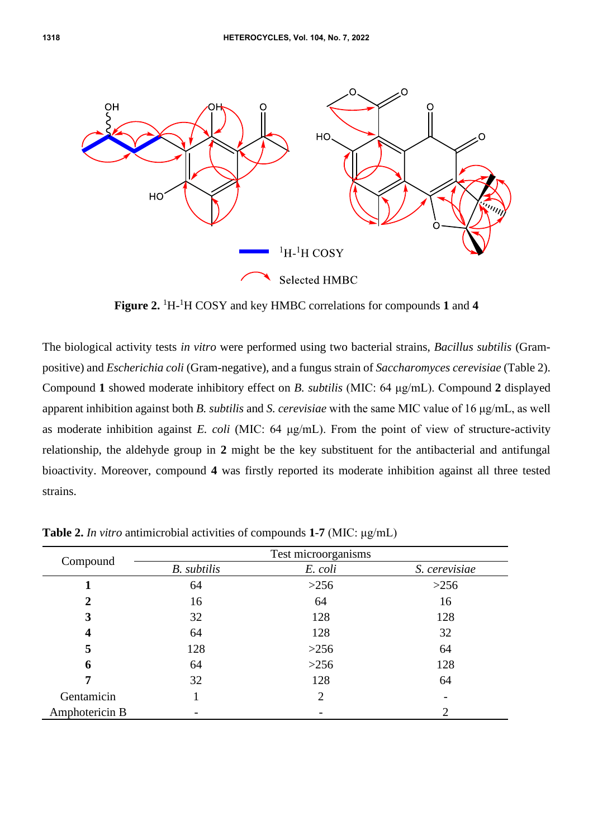

Figure 2. <sup>1</sup>H-<sup>1</sup>H COSY and key HMBC correlations for compounds 1 and 4

The biological activity tests *in vitro* were performed using two bacterial strains, *Bacillus subtilis* (Grampositive) and *Escherichia coli* (Gram-negative), and a fungus strain of *Saccharomyces cerevisiae* (Table 2). Compound **1** showed moderate inhibitory effect on *B. subtilis* (MIC: 64 μg/mL). Compound **2** displayed apparent inhibition against both *B. subtilis* and *S. cerevisiae* with the same MIC value of 16 μg/mL, as well as moderate inhibition against *E. coli* (MIC: 64 μg/mL). From the point of view of structure-activity relationship, the aldehyde group in **2** might be the key substituent for the antibacterial and antifungal bioactivity. Moreover, compound **4** was firstly reported its moderate inhibition against all three tested strains.

|                |                    | Test microorganisms |               |
|----------------|--------------------|---------------------|---------------|
| Compound       | <b>B.</b> subtilis | E. coli             | S. cerevisiae |
|                | 64                 | >256                | >256          |
| 2              | 16                 | 64                  | 16            |
| 3              | 32                 | 128                 | 128           |
| 4              | 64                 | 128                 | 32            |
| 5              | 128                | >256                | 64            |
| 6              | 64                 | >256                | 128           |
|                | 32                 | 128                 | 64            |
| Gentamicin     |                    | $\overline{2}$      |               |
| Amphotericin B |                    |                     |               |

**Table 2.** *In vitro* antimicrobial activities of compounds **1**-**7** (MIC: μg/mL)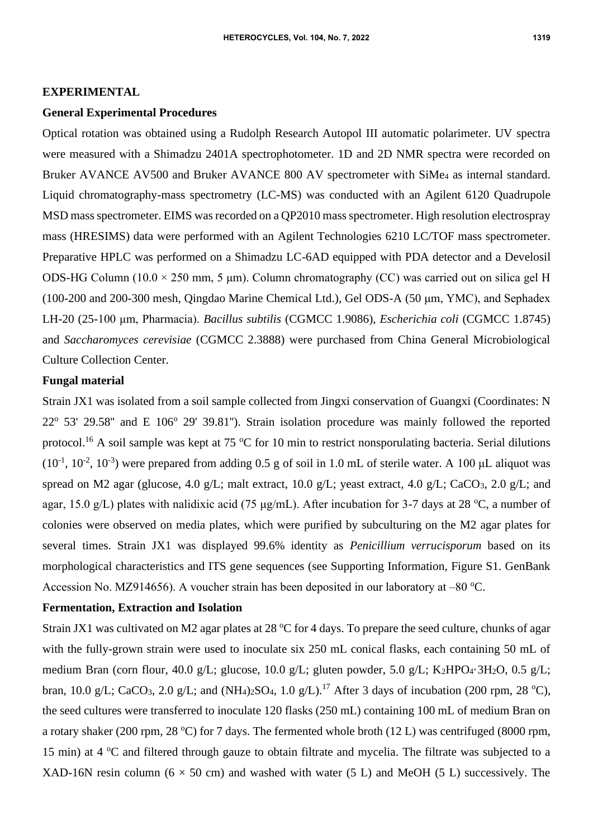### **EXPERIMENTAL**

#### **General Experimental Procedures**

Optical rotation was obtained using a Rudolph Research Autopol III automatic polarimeter. UV spectra were measured with a Shimadzu 2401A spectrophotometer. 1D and 2D NMR spectra were recorded on Bruker AVANCE AV500 and Bruker AVANCE 800 AV spectrometer with SiMe<sub>4</sub> as internal standard. Liquid chromatography-mass spectrometry (LC-MS) was conducted with an Agilent 6120 Quadrupole MSD mass spectrometer. EIMS was recorded on a QP2010 mass spectrometer. High resolution electrospray mass (HRESIMS) data were performed with an Agilent Technologies 6210 LC/TOF mass spectrometer. Preparative HPLC was performed on a Shimadzu LC-6AD equipped with PDA detector and a Develosil ODS-HG Column (10.0 × 250 mm, 5 μm). Column chromatography (CC) was carried out on silica gel H (100-200 and 200-300 mesh, Qingdao Marine Chemical Ltd.), Gel ODS-A (50 μm, YMC), and Sephadex LH-20 (25-100 μm, Pharmacia). *Bacillus subtilis* (CGMCC 1.9086), *Escherichia coli* (CGMCC 1.8745) and *Saccharomyces cerevisiae* (CGMCC 2.3888) were purchased from China General Microbiological Culture Collection Center.

## **Fungal material**

Strain JX1 was isolated from a soil sample collected from Jingxi conservation of Guangxi (Coordinates: N  $22^{\circ}$  53' 29.58" and E 106 $^{\circ}$  29' 39.81"). Strain isolation procedure was mainly followed the reported protocol.<sup>16</sup> A soil sample was kept at 75  $\rm{^{\circ}C}$  for 10 min to restrict nonsporulating bacteria. Serial dilutions  $(10^{-1}, 10^{-2}, 10^{-3})$  were prepared from adding 0.5 g of soil in 1.0 mL of sterile water. A 100 µL aliquot was spread on M2 agar (glucose, 4.0 g/L; malt extract, 10.0 g/L; yeast extract, 4.0 g/L; CaCO<sub>3</sub>, 2.0 g/L; and agar, 15.0 g/L) plates with nalidixic acid (75  $\mu$ g/mL). After incubation for 3-7 days at 28 °C, a number of colonies were observed on media plates, which were purified by subculturing on the M2 agar plates for several times. Strain JX1 was displayed 99.6% identity as *Penicillium verrucisporum* based on its morphological characteristics and ITS gene sequences (see Supporting Information, Figure S1. GenBank Accession No. MZ914656). A voucher strain has been deposited in our laboratory at  $-80^{\circ}$ C.

#### **Fermentation, Extraction and Isolation**

Strain JX1 was cultivated on M2 agar plates at 28  $^{\circ}$ C for 4 days. To prepare the seed culture, chunks of agar with the fully-grown strain were used to inoculate six 250 mL conical flasks, each containing 50 mL of medium Bran (corn flour, 40.0 g/L; glucose, 10.0 g/L; gluten powder, 5.0 g/L; K2HPO4·3H2O, 0.5 g/L; bran, 10.0 g/L; CaCO<sub>3</sub>, 2.0 g/L; and (NH<sub>4</sub>)<sub>2</sub>SO<sub>4</sub>, 1.0 g/L).<sup>17</sup> After 3 days of incubation (200 rpm, 28 °C), the seed cultures were transferred to inoculate 120 flasks (250 mL) containing 100 mL of medium Bran on a rotary shaker (200 rpm, 28 °C) for 7 days. The fermented whole broth (12 L) was centrifuged (8000 rpm, 15 min) at  $4 \degree C$  and filtered through gauze to obtain filtrate and mycelia. The filtrate was subjected to a XAD-16N resin column ( $6 \times 50$  cm) and washed with water (5 L) and MeOH (5 L) successively. The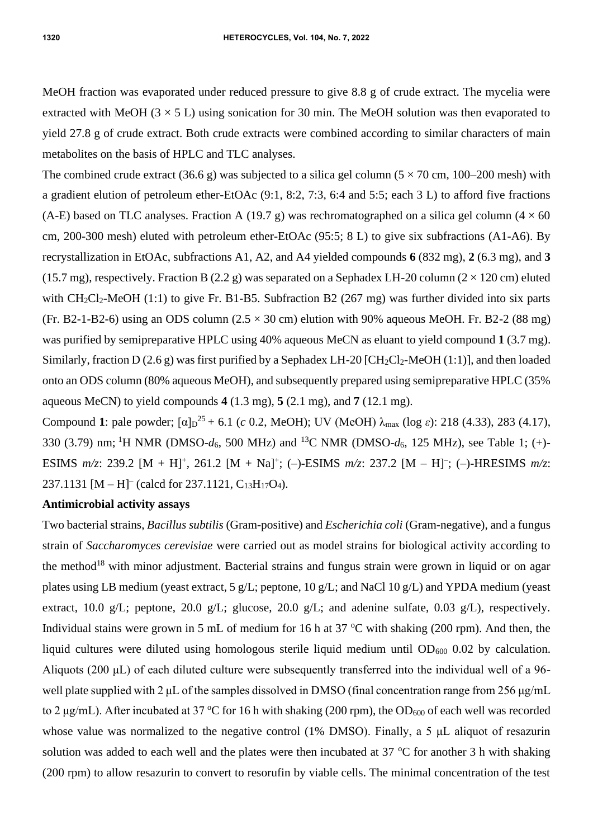MeOH fraction was evaporated under reduced pressure to give 8.8 g of crude extract. The mycelia were extracted with MeOH ( $3 \times 5$  L) using sonication for 30 min. The MeOH solution was then evaporated to yield 27.8 g of crude extract. Both crude extracts were combined according to similar characters of main metabolites on the basis of HPLC and TLC analyses.

The combined crude extract (36.6 g) was subjected to a silica gel column ( $5 \times 70$  cm, 100–200 mesh) with a gradient elution of petroleum ether-EtOAc (9:1, 8:2, 7:3, 6:4 and 5:5; each 3 L) to afford five fractions (A-E) based on TLC analyses. Fraction A (19.7 g) was rechromatographed on a silica gel column ( $4 \times 60$ ) cm, 200-300 mesh) eluted with petroleum ether-EtOAc (95:5; 8 L) to give six subfractions (A1-A6). By recrystallization in EtOAc, subfractions A1, A2, and A4 yielded compounds **6** (832 mg), **2** (6.3 mg), and **3** (15.7 mg), respectively. Fraction B (2.2 g) was separated on a Sephadex LH-20 column ( $2 \times 120$  cm) eluted with  $CH_2Cl_2-MeOH$  (1:1) to give Fr. B1-B5. Subfraction B2 (267 mg) was further divided into six parts (Fr. B2-1-B2-6) using an ODS column  $(2.5 \times 30 \text{ cm})$  elution with 90% aqueous MeOH. Fr. B2-2 (88 mg) was purified by semipreparative HPLC using 40% aqueous MeCN as eluant to yield compound **1** (3.7 mg). Similarly, fraction D (2.6 g) was first purified by a Sephadex LH-20 [CH<sub>2</sub>Cl<sub>2</sub>-MeOH (1:1)], and then loaded onto an ODS column (80% aqueous MeOH), and subsequently prepared using semipreparative HPLC (35% aqueous MeCN) to yield compounds **4** (1.3 mg), **5** (2.1 mg), and **7** (12.1 mg).

Compound 1: pale powder;  $[\alpha]_D^{25} + 6.1$  (*c* 0.2, MeOH); UV (MeOH)  $\lambda_{\text{max}}$  (log *ε*): 218 (4.33), 283 (4.17), 330 (3.79) nm; <sup>1</sup>H NMR (DMSO-*d*6, 500 MHz) and <sup>13</sup>C NMR (DMSO-*d*6, 125 MHz), see Table 1; (+)**-** ESIMS  $m/z$ : 239.2 [M + H]<sup>+</sup>, 261.2 [M + Na]<sup>+</sup>; (-)**-**ESIMS  $m/z$ : 237.2 [M - H]<sup>-</sup>; (-)**-**HRESIMS  $m/z$ : 237.1131  $[M - H]^-$  (calcd for 237.1121,  $C_{13}H_{17}O_4$ ).

# **Antimicrobial activity assays**

Two bacterial strains, *Bacillus subtilis* (Gram-positive) and *Escherichia coli* (Gram-negative), and a fungus strain of *Saccharomyces cerevisiae* were carried out as model strains for biological activity according to the method<sup>18</sup> with minor adjustment. Bacterial strains and fungus strain were grown in liquid or on agar plates using LB medium (yeast extract, 5 g/L; peptone, 10 g/L; and NaCl 10 g/L) and YPDA medium (yeast extract, 10.0 g/L; peptone, 20.0 g/L; glucose, 20.0 g/L; and adenine sulfate, 0.03 g/L), respectively. Individual stains were grown in 5 mL of medium for 16 h at 37  $\degree$ C with shaking (200 rpm). And then, the liquid cultures were diluted using homologous sterile liquid medium until  $OD_{600}$  0.02 by calculation. Aliquots (200 μL) of each diluted culture were subsequently transferred into the individual well of a 96 well plate supplied with 2 μL of the samples dissolved in DMSO (final concentration range from 256 μg/mL to 2 μg/mL). After incubated at 37 °C for 16 h with shaking (200 rpm), the OD<sub>600</sub> of each well was recorded whose value was normalized to the negative control (1% DMSO). Finally, a 5 μL aliquot of resazurin solution was added to each well and the plates were then incubated at 37  $\degree$ C for another 3 h with shaking (200 rpm) to allow resazurin to convert to resorufin by viable cells. The minimal concentration of the test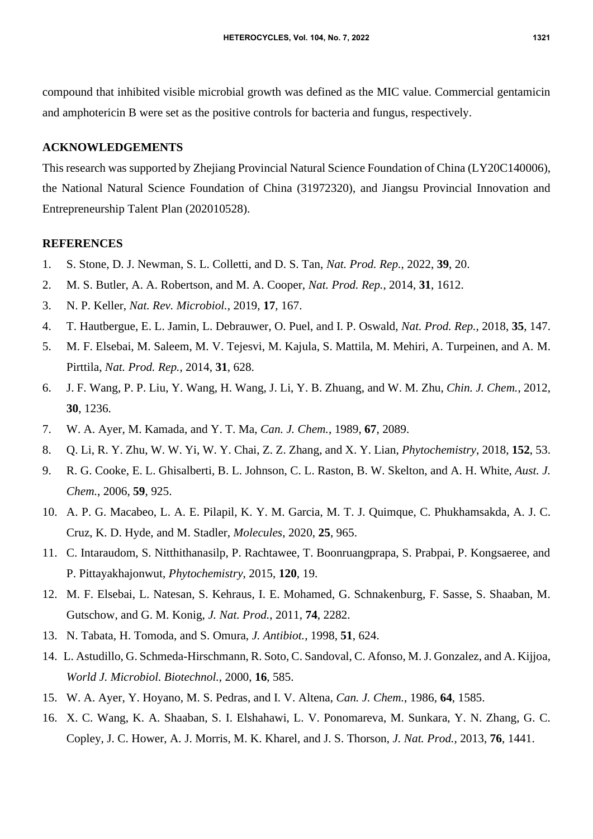compound that inhibited visible microbial growth was defined as the MIC value. Commercial gentamicin and amphotericin B were set as the positive controls for bacteria and fungus, respectively.

## **ACKNOWLEDGEMENTS**

This research was supported by Zhejiang Provincial Natural Science Foundation of China (LY20C140006), the National Natural Science Foundation of China (31972320), and Jiangsu Provincial Innovation and Entrepreneurship Talent Plan (202010528).

#### **REFERENCES**

- 1. S. Stone, D. J. Newman, S. L. Colletti, and D. S. Tan, *Nat. Prod. Rep.*, 2022, **39**, 20.
- 2. M. S. Butler, A. A. Robertson, and M. A. Cooper, *Nat. Prod. Rep.*, 2014, **31**, 1612.
- 3. N. P. Keller, *Nat. Rev. Microbiol.*, 2019, **17**, 167.
- 4. T. Hautbergue, E. L. Jamin, L. Debrauwer, O. Puel, and I. P. Oswald, *Nat. Prod. Rep.*, 2018, **35**, 147.
- 5. M. F. Elsebai, M. Saleem, M. V. Tejesvi, M. Kajula, S. Mattila, M. Mehiri, A. Turpeinen, and A. M. Pirttila, *Nat. Prod. Rep.*, 2014, **31**, 628.
- 6. J. F. Wang, P. P. Liu, Y. Wang, H. Wang, J. Li, Y. B. Zhuang, and W. M. Zhu, *Chin. J. Chem.*, 2012, **30**, 1236.
- 7. W. A. Ayer, M. Kamada, and Y. T. Ma, *Can. J. Chem.*, 1989, **67**, 2089.
- 8. Q. Li, R. Y. Zhu, W. W. Yi, W. Y. Chai, Z. Z. Zhang, and X. Y. Lian, *Phytochemistry*, 2018, **152**, 53.
- 9. R. G. Cooke, E. L. Ghisalberti, B. L. Johnson, C. L. Raston, B. W. Skelton, and A. H. White, *Aust. J. Chem.*, 2006, **59**, 925.
- 10. A. P. G. Macabeo, L. A. E. Pilapil, K. Y. M. Garcia, M. T. J. Quimque, C. Phukhamsakda, A. J. C. Cruz, K. D. Hyde, and M. Stadler, *Molecules*, 2020, **25**, 965.
- 11. C. Intaraudom, S. Nitthithanasilp, P. Rachtawee, T. Boonruangprapa, S. Prabpai, P. Kongsaeree, and P. Pittayakhajonwut, *Phytochemistry*, 2015, **120**, 19.
- 12. M. F. Elsebai, L. Natesan, S. Kehraus, I. E. Mohamed, G. Schnakenburg, F. Sasse, S. Shaaban, M. Gutschow, and G. M. Konig, *J. Nat. Prod.*, 2011, **74**, 2282.
- 13. N. Tabata, H. Tomoda, and S. Omura, *J. Antibiot.*, 1998, **51**, 624.
- 14. L. Astudillo, G. Schmeda-Hirschmann, R. Soto, C. Sandoval, C. Afonso, M. J. Gonzalez, and A. Kijjoa, *World J. Microbiol. Biotechnol.*, 2000, **16**, 585.
- 15. W. A. Ayer, Y. Hoyano, M. S. Pedras, and I. V. Altena, *Can. J. Chem.*, 1986, **64**, 1585.
- 16. X. C. Wang, K. A. Shaaban, S. I. Elshahawi, L. V. Ponomareva, M. Sunkara, Y. N. Zhang, G. C. Copley, J. C. Hower, A. J. Morris, M. K. Kharel, and J. S. Thorson, *J. Nat. Prod.*, 2013, **76**, 1441.